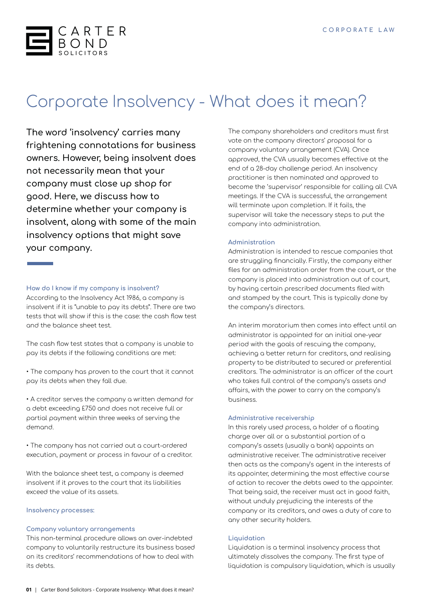

# Corporate Insolvency - What does it mean?

**The word 'insolvency' carries many frightening connotations for business owners. However, being insolvent does not necessarily mean that your company must close up shop for good. Here, we discuss how to determine whether your company is insolvent, along with some of the main insolvency options that might save your company.**

### **How do I know if my company is insolvent?**

According to the Insolvency Act 1986, a company is insolvent if it is "unable to pay its debts". There are two tests that will show if this is the case: the cash flow test and the balance sheet test.

The cash flow test states that a company is unable to pay its debts if the following conditions are met:

• The company has proven to the court that it cannot pay its debts when they fall due.

• A creditor serves the company a written demand for a debt exceeding £750 and does not receive full or partial payment within three weeks of serving the demand.

• The company has not carried out a court-ordered execution, payment or process in favour of a creditor.

With the balance sheet test, a company is deemed insolvent if it proves to the court that its liabilities exceed the value of its assets.

#### **Insolvency processes:**

#### **Company voluntary arrangements**

This non-terminal procedure allows an over-indebted company to voluntarily restructure its business based on its creditors' recommendations of how to deal with its debts.

The company shareholders and creditors must first vote on the company directors' proposal for a company voluntary arrangement (CVA). Once approved, the CVA usually becomes effective at the end of a 28-day challenge period. An insolvency practitioner is then nominated and approved to become the 'supervisor' responsible for calling all CVA meetings. If the CVA is successful, the arrangement will terminate upon completion. If it fails, the supervisor will take the necessary steps to put the company into administration.

#### **Administration**

Administration is intended to rescue companies that are struggling financially. Firstly, the company either files for an administration order from the court, or the company is placed into administration out of court, by having certain prescribed documents filed with and stamped by the court. This is typically done by the company's directors.

An interim moratorium then comes into effect until an administrator is appointed for an initial one-year period with the goals of rescuing the company, achieving a better return for creditors, and realising property to be distributed to secured or preferential creditors. The administrator is an officer of the court who takes full control of the company's assets and affairs, with the power to carry on the company's business.

#### **Administrative receivership**

In this rarely used process, a holder of a floating charge over all or a substantial portion of a company's assets (usually a bank) appoints an administrative receiver. The administrative receiver then acts as the company's agent in the interests of its appointer, determining the most effective course of action to recover the debts owed to the appointer. That being said, the receiver must act in good faith, without unduly prejudicing the interests of the company or its creditors, and owes a duty of care to any other security holders.

#### **Liquidation**

Liquidation is a terminal insolvency process that ultimately dissolves the company. The first type of liquidation is compulsory liquidation, which is usually